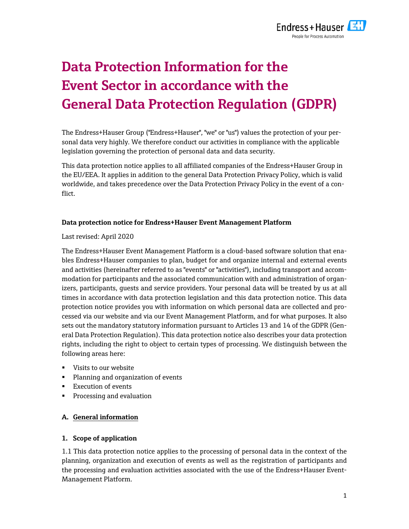

# **Data Protection Information for the Event Sector in accordance with the General Data Protection Regulation (GDPR)**

The Endress+Hauser Group ("Endress+Hauser", "we" or "us") values the protection of your personal data very highly. We therefore conduct our activities in compliance with the applicable legislation governing the protection of personal data and data security.

This data protection notice applies to all affiliated companies of the Endress+Hauser Group in the EU/EEA. It applies in addition to the general Data Protection Privacy Policy, which is valid worldwide, and takes precedence over the Data Protection Privacy Policy in the event of a conflict.

## **Data protection notice for Endress+Hauser Event Management Platform**

Last revised: April 2020

The Endress+Hauser Event Management Platform is a cloud-based software solution that enables Endress+Hauser companies to plan, budget for and organize internal and external events and activities (hereinafter referred to as "events" or "activities"), including transport and accommodation for participants and the associated communication with and administration of organizers, participants, guests and service providers. Your personal data will be treated by us at all times in accordance with data protection legislation and this data protection notice. This data protection notice provides you with information on which personal data are collected and processed via our website and via our Event Management Platform, and for what purposes. It also sets out the mandatory statutory information pursuant to Articles 13 and 14 of the GDPR (General Data Protection Regulation). This data protection notice also describes your data protection rights, including the right to object to certain types of processing. We distinguish between the following areas here:

- Visits to our website
- **Planning and organization of events**
- **Execution of events**
- **Processing and evaluation**

# **A. General information**

# **1. Scope of application**

1.1 This data protection notice applies to the processing of personal data in the context of the planning, organization and execution of events as well as the registration of participants and the processing and evaluation activities associated with the use of the Endress+Hauser Event-Management Platform.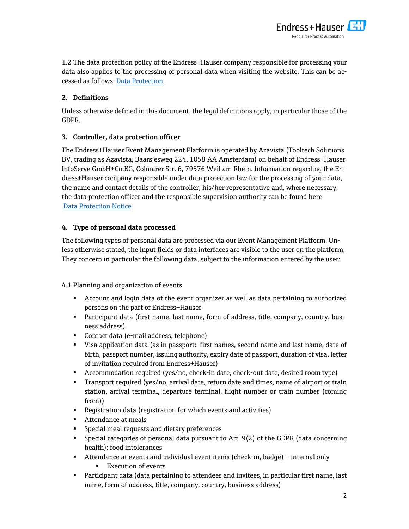

1.2 The data protection policy of the Endress+Hauser company responsible for processing your data also applies to the processing of personal data when visiting the website. This can be accessed as follows: Data Protection.

# **2. Definitions**

Unless otherwise defined in this document, the legal definitions apply, in particular those of the GDPR.

# **3. Controller, data protection officer**

The Endress+Hauser Event Management Platform is operated by Azavista (Tooltech Solutions BV, trading as Azavista, Baarsjesweg 224, 1058 AA Amsterdam) on behalf of Endress+Hauser InfoServe GmbH+Co.KG, Colmarer Str. 6, 79576 Weil am Rhein. Information regarding the Endress+Hauser company responsible under data protection law for the processing of your data, the name and contact details of the controller, his/her representative and, where necessary, the data protection officer and the responsible supervision authority can be found here Data Protection Notice.

# **4. Type of personal data processed**

The following types of personal data are processed via our Event Management Platform. Unless otherwise stated, the input fields or data interfaces are visible to the user on the platform. They concern in particular the following data, subject to the information entered by the user:

4.1 Planning and organization of events

- Account and login data of the event organizer as well as data pertaining to authorized persons on the part of Endress+Hauser
- Participant data (first name, last name, form of address, title, company, country, business address)
- Contact data (e-mail address, telephone)
- Visa application data (as in passport: first names, second name and last name, date of birth, passport number, issuing authority, expiry date of passport, duration of visa, letter of invitation required from Endress+Hauser)
- Accommodation required (yes/no, check-in date, check-out date, desired room type)
- **Transport required (yes/no, arrival date, return date and times, name of airport or train** station, arrival terminal, departure terminal, flight number or train number (coming from))
- Registration data (registration for which events and activities)
- **Attendance at meals**
- **Special meal requests and dietary preferences**
- Special categories of personal data pursuant to Art. 9(2) of the GDPR (data concerning health): food intolerances
- Attendance at events and individual event items (check-in, badge) internal only
	- **Execution of events**
- Participant data (data pertaining to attendees and invitees, in particular first name, last name, form of address, title, company, country, business address)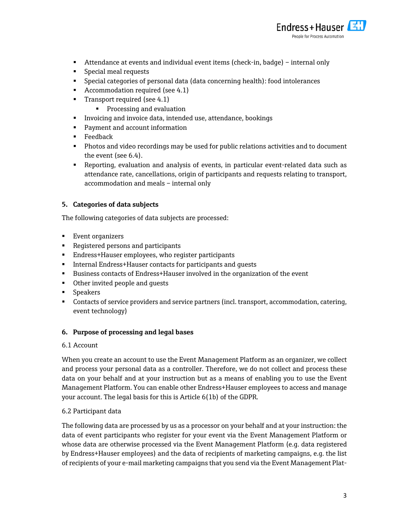

- Attendance at events and individual event items (check-in, badge) internal only
- **Special meal requests**
- Special categories of personal data (data concerning health): food intolerances
- Accommodation required (see 4.1)
- Transport required (see  $4.1$ )
	- **Processing and evaluation**
- **Invoicing and invoice data, intended use, attendance, bookings**
- **Payment and account information**
- **Feedback**
- **Photos and video recordings may be used for public relations activities and to document** the event (see 6.4).
- Reporting, evaluation and analysis of events, in particular event-related data such as attendance rate, cancellations, origin of participants and requests relating to transport, accommodation and meals – internal only

## **5. Categories of data subjects**

The following categories of data subjects are processed:

- **Event organizers**
- **Reqistered persons and participants**
- Endress+Hauser employees, who register participants
- Internal Endress+Hauser contacts for participants and guests
- **Business contacts of Endress+Hauser involved in the organization of the event**
- **•** Other invited people and guests
- **Speakers**
- Contacts of service providers and service partners (incl. transport, accommodation, catering, event technology)

## **6. Purpose of processing and legal bases**

## 6.1 Account

When you create an account to use the Event Management Platform as an organizer, we collect and process your personal data as a controller. Therefore, we do not collect and process these data on your behalf and at your instruction but as a means of enabling you to use the Event Management Platform. You can enable other Endress+Hauser employees to access and manage your account. The legal basis for this is Article 6(1b) of the GDPR.

## 6.2 Participant data

The following data are processed by us as a processor on your behalf and at your instruction: the data of event participants who register for your event via the Event Management Platform or whose data are otherwise processed via the Event Management Platform (e.g. data registered by Endress+Hauser employees) and the data of recipients of marketing campaigns, e.g. the list of recipients of your e-mail marketing campaigns that you send via the Event Management Plat-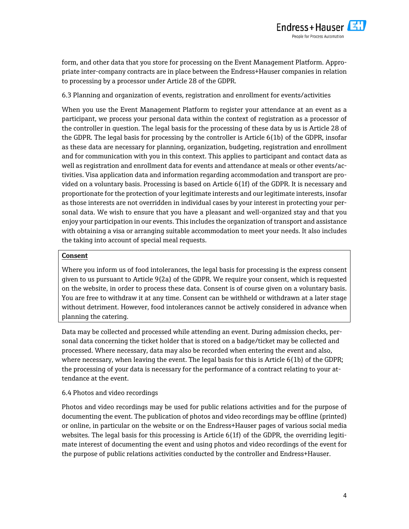

form, and other data that you store for processing on the Event Management Platform. Appropriate inter-company contracts are in place between the Endress+Hauser companies in relation to processing by a processor under Article 28 of the GDPR.

## 6.3 Planning and organization of events, registration and enrollment for events/activities

When you use the Event Management Platform to register your attendance at an event as a participant, we process your personal data within the context of registration as a processor of the controller in question. The legal basis for the processing of these data by us is Article 28 of the GDPR. The legal basis for processing by the controller is Article 6(1b) of the GDPR, insofar as these data are necessary for planning, organization, budgeting, registration and enrollment and for communication with you in this context. This applies to participant and contact data as well as registration and enrollment data for events and attendance at meals or other events/activities. Visa application data and information regarding accommodation and transport are provided on a voluntary basis. Processing is based on Article 6(1f) of the GDPR. It is necessary and proportionate for the protection of your legitimate interests and our legitimate interests, insofar as those interests are not overridden in individual cases by your interest in protecting your personal data. We wish to ensure that you have a pleasant and well-organized stay and that you enjoy your participation in our events. This includes the organization of transport and assistance with obtaining a visa or arranging suitable accommodation to meet your needs. It also includes the taking into account of special meal requests.

#### **Consent**

Where you inform us of food intolerances, the legal basis for processing is the express consent given to us pursuant to Article 9(2a) of the GDPR. We require your consent, which is requested on the website, in order to process these data. Consent is of course given on a voluntary basis. You are free to withdraw it at any time. Consent can be withheld or withdrawn at a later stage without detriment. However, food intolerances cannot be actively considered in advance when planning the catering.

Data may be collected and processed while attending an event. During admission checks, personal data concerning the ticket holder that is stored on a badge/ticket may be collected and processed. Where necessary, data may also be recorded when entering the event and also, where necessary, when leaving the event. The legal basis for this is Article 6(1b) of the GDPR; the processing of your data is necessary for the performance of a contract relating to your attendance at the event.

## 6.4 Photos and video recordings

Photos and video recordings may be used for public relations activities and for the purpose of documenting the event. The publication of photos and video recordings may be offline (printed) or online, in particular on the website or on the Endress+Hauser pages of various social media websites. The legal basis for this processing is Article 6(1f) of the GDPR, the overriding legitimate interest of documenting the event and using photos and video recordings of the event for the purpose of public relations activities conducted by the controller and Endress+Hauser.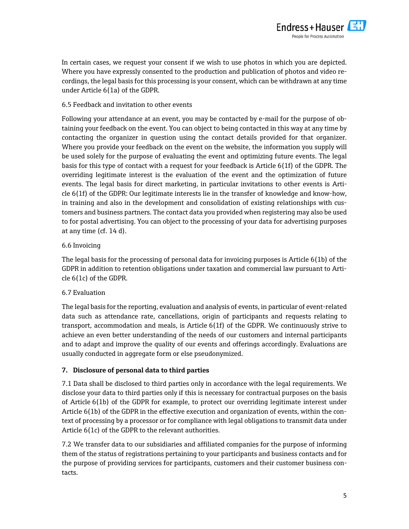

In certain cases, we request your consent if we wish to use photos in which you are depicted. Where you have expressly consented to the production and publication of photos and video recordings, the legal basis for this processing is your consent, which can be withdrawn at any time under Article 6(1a) of the GDPR.

## 6.5 Feedback and invitation to other events

Following your attendance at an event, you may be contacted by e-mail for the purpose of obtaining your feedback on the event. You can object to being contacted in this way at any time by contacting the organizer in question using the contact details provided for that organizer. Where you provide your feedback on the event on the website, the information you supply will be used solely for the purpose of evaluating the event and optimizing future events. The legal basis for this type of contact with a request for your feedback is Article 6(1f) of the GDPR. The overriding legitimate interest is the evaluation of the event and the optimization of future events. The legal basis for direct marketing, in particular invitations to other events is Article 6(1f) of the GDPR: Our legitimate interests lie in the transfer of knowledge and know-how, in training and also in the development and consolidation of existing relationships with customers and business partners. The contact data you provided when registering may also be used to for postal advertising. You can object to the processing of your data for advertising purposes at any time (cf. 14 d).

## 6.6 Invoicing

The legal basis for the processing of personal data for invoicing purposes is Article 6(1b) of the GDPR in addition to retention obligations under taxation and commercial law pursuant to Article 6(1c) of the GDPR.

# 6.7 Evaluation

The legal basis for the reporting, evaluation and analysis of events, in particular of event-related data such as attendance rate, cancellations, origin of participants and requests relating to transport, accommodation and meals, is Article 6(1f) of the GDPR. We continuously strive to achieve an even better understanding of the needs of our customers and internal participants and to adapt and improve the quality of our events and offerings accordingly. Evaluations are usually conducted in aggregate form or else pseudonymized.

# **7. Disclosure of personal data to third parties**

7.1 Data shall be disclosed to third parties only in accordance with the legal requirements. We disclose your data to third parties only if this is necessary for contractual purposes on the basis of Article 6(1b) of the GDPR for example, to protect our overriding legitimate interest under Article 6(1b) of the GDPR in the effective execution and organization of events, within the context of processing by a processor or for compliance with legal obligations to transmit data under Article 6(1c) of the GDPR to the relevant authorities.

7.2 We transfer data to our subsidiaries and affiliated companies for the purpose of informing them of the status of registrations pertaining to your participants and business contacts and for the purpose of providing services for participants, customers and their customer business contacts.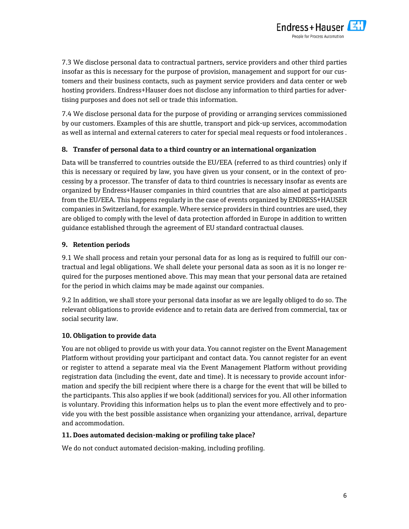

7.3 We disclose personal data to contractual partners, service providers and other third parties insofar as this is necessary for the purpose of provision, management and support for our customers and their business contacts, such as payment service providers and data center or web hosting providers. Endress+Hauser does not disclose any information to third parties for advertising purposes and does not sell or trade this information.

7.4 We disclose personal data for the purpose of providing or arranging services commissioned by our customers. Examples of this are shuttle, transport and pick-up services, accommodation as well as internal and external caterers to cater for special meal requests or food intolerances .

## **8. Transfer of personal data to a third country or an international organization**

Data will be transferred to countries outside the EU/EEA (referred to as third countries) only if this is necessary or required by law, you have given us your consent, or in the context of processing by a processor. The transfer of data to third countries is necessary insofar as events are organized by Endress+Hauser companies in third countries that are also aimed at participants from the EU/EEA. This happens regularly in the case of events organized by ENDRESS+HAUSER companies in Switzerland, for example. Where service providers in third countries are used, they are obliged to comply with the level of data protection afforded in Europe in addition to written guidance established through the agreement of EU standard contractual clauses.

## **9. Retention periods**

9.1 We shall process and retain your personal data for as long as is required to fulfill our contractual and legal obligations. We shall delete your personal data as soon as it is no longer required for the purposes mentioned above. This may mean that your personal data are retained for the period in which claims may be made against our companies.

9.2 In addition, we shall store your personal data insofar as we are legally obliged to do so. The relevant obligations to provide evidence and to retain data are derived from commercial, tax or social security law.

## **10. Obligation to provide data**

You are not obliged to provide us with your data. You cannot register on the Event Management Platform without providing your participant and contact data. You cannot register for an event or register to attend a separate meal via the Event Management Platform without providing registration data (including the event, date and time). It is necessary to provide account information and specify the bill recipient where there is a charge for the event that will be billed to the participants. This also applies if we book (additional) services for you. All other information is voluntary. Providing this information helps us to plan the event more effectively and to provide you with the best possible assistance when organizing your attendance, arrival, departure and accommodation.

## **11. Does automated decision-making or profiling take place?**

We do not conduct automated decision-making, including profiling.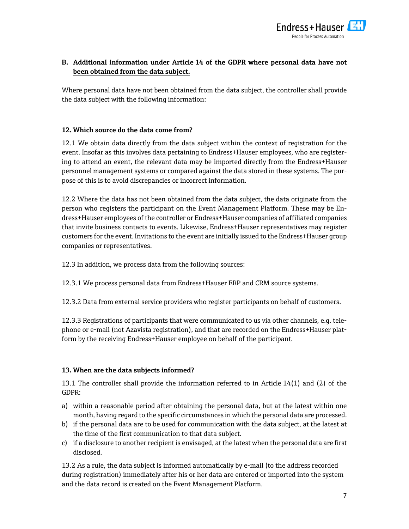

# **B. Additional information under Article 14 of the GDPR where personal data have not been obtained from the data subject.**

Where personal data have not been obtained from the data subject, the controller shall provide the data subject with the following information:

## **12. Which source do the data come from?**

12.1 We obtain data directly from the data subject within the context of registration for the event. Insofar as this involves data pertaining to Endress+Hauser employees, who are registering to attend an event, the relevant data may be imported directly from the Endress+Hauser personnel management systems or compared against the data stored in these systems. The purpose of this is to avoid discrepancies or incorrect information.

12.2 Where the data has not been obtained from the data subject, the data originate from the person who registers the participant on the Event Management Platform. These may be Endress+Hauser employees of the controller or Endress+Hauser companies of affiliated companies that invite business contacts to events. Likewise, Endress+Hauser representatives may register customers for the event. Invitations to the event are initially issued to the Endress+Hauser group companies or representatives.

12.3 In addition, we process data from the following sources:

12.3.1 We process personal data from Endress+Hauser ERP and CRM source systems.

12.3.2 Data from external service providers who register participants on behalf of customers.

12.3.3 Registrations of participants that were communicated to us via other channels, e.g. telephone or e-mail (not Azavista registration), and that are recorded on the Endress+Hauser platform by the receiving Endress+Hauser employee on behalf of the participant.

# **13. When are the data subjects informed?**

13.1 The controller shall provide the information referred to in Article 14(1) and (2) of the GDPR:

- a) within a reasonable period after obtaining the personal data, but at the latest within one month, having regard to the specific circumstances in which the personal data are processed.
- b) if the personal data are to be used for communication with the data subject, at the latest at the time of the first communication to that data subject.
- c) if a disclosure to another recipient is envisaged, at the latest when the personal data are first disclosed.

13.2 As a rule, the data subject is informed automatically by e-mail (to the address recorded during registration) immediately after his or her data are entered or imported into the system and the data record is created on the Event Management Platform.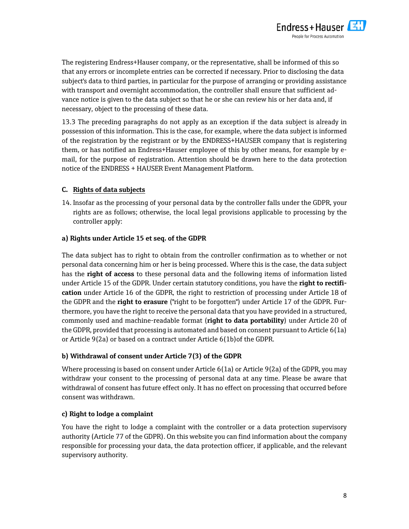

The registering Endress+Hauser company, or the representative, shall be informed of this so that any errors or incomplete entries can be corrected if necessary. Prior to disclosing the data subject's data to third parties, in particular for the purpose of arranging or providing assistance with transport and overnight accommodation, the controller shall ensure that sufficient advance notice is given to the data subject so that he or she can review his or her data and, if necessary, object to the processing of these data.

13.3 The preceding paragraphs do not apply as an exception if the data subject is already in possession of this information. This is the case, for example, where the data subject is informed of the registration by the registrant or by the ENDRESS+HAUSER company that is registering them, or has notified an Endress+Hauser employee of this by other means, for example by email, for the purpose of registration. Attention should be drawn here to the data protection notice of the ENDRESS + HAUSER Event Management Platform.

## **C. Rights of data subjects**

14. Insofar as the processing of your personal data by the controller falls under the GDPR, your rights are as follows; otherwise, the local legal provisions applicable to processing by the controller apply:

## **a) Rights under Article 15 et seq. of the GDPR**

The data subject has to right to obtain from the controller confirmation as to whether or not personal data concerning him or her is being processed. Where this is the case, the data subject has the **right of access** to these personal data and the following items of information listed under Article 15 of the GDPR. Under certain statutory conditions, you have the **right to rectification** under Article 16 of the GDPR, the right to restriction of processing under Article 18 of the GDPR and the **right to erasure** ("right to be forgotten") under Article 17 of the GDPR. Furthermore, you have the right to receive the personal data that you have provided in a structured, commonly used and machine-readable format (**right to data portability**) under Article 20 of the GDPR, provided that processing is automated and based on consent pursuant to Article 6(1a) or Article 9(2a) or based on a contract under Article 6(1b)of the GDPR.

## **b) Withdrawal of consent under Article 7(3) of the GDPR**

Where processing is based on consent under Article 6(1a) or Article 9(2a) of the GDPR, you may withdraw your consent to the processing of personal data at any time. Please be aware that withdrawal of consent has future effect only. It has no effect on processing that occurred before consent was withdrawn.

## **c) Right to lodge a complaint**

You have the right to lodge a complaint with the controller or a data protection supervisory authority (Article 77 of the GDPR). On this website you can find information about the company responsible for processing your data, the data protection officer, if applicable, and the relevant supervisory authority.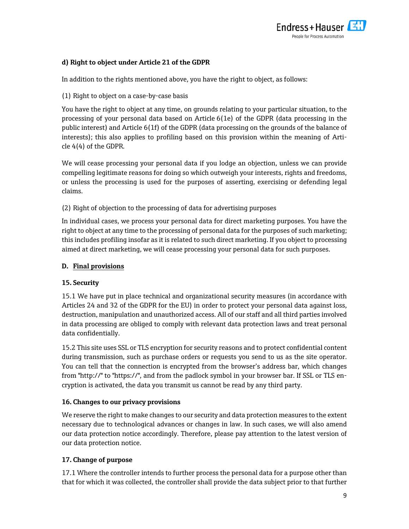

# **d) Right to object under Article 21 of the GDPR**

In addition to the rights mentioned above, you have the right to object, as follows:

## (1) Right to object on a case-by-case basis

You have the right to object at any time, on grounds relating to your particular situation, to the processing of your personal data based on Article 6(1e) of the GDPR (data processing in the public interest) and Article 6(1f) of the GDPR (data processing on the grounds of the balance of interests); this also applies to profiling based on this provision within the meaning of Article 4(4) of the GDPR.

We will cease processing your personal data if you lodge an objection, unless we can provide compelling legitimate reasons for doing so which outweigh your interests, rights and freedoms, or unless the processing is used for the purposes of asserting, exercising or defending legal claims.

(2) Right of objection to the processing of data for advertising purposes

In individual cases, we process your personal data for direct marketing purposes. You have the right to object at any time to the processing of personal data for the purposes of such marketing; this includes profiling insofar as it is related to such direct marketing. If you object to processing aimed at direct marketing, we will cease processing your personal data for such purposes.

## **D. Final provisions**

## **15. Security**

15.1 We have put in place technical and organizational security measures (in accordance with Articles 24 and 32 of the GDPR for the EU) in order to protect your personal data against loss, destruction, manipulation and unauthorized access. All of our staff and all third parties involved in data processing are obliged to comply with relevant data protection laws and treat personal data confidentially.

15.2 This site uses SSL or TLS encryption for security reasons and to protect confidential content during transmission, such as purchase orders or requests you send to us as the site operator. You can tell that the connection is encrypted from the browser's address bar, which changes from "http://" to "https://", and from the padlock symbol in your browser bar. If SSL or TLS encryption is activated, the data you transmit us cannot be read by any third party.

## **16. Changes to our privacy provisions**

We reserve the right to make changes to our security and data protection measures to the extent necessary due to technological advances or changes in law. In such cases, we will also amend our data protection notice accordingly. Therefore, please pay attention to the latest version of our data protection notice.

# **17. Change of purpose**

17.1 Where the controller intends to further process the personal data for a purpose other than that for which it was collected, the controller shall provide the data subject prior to that further